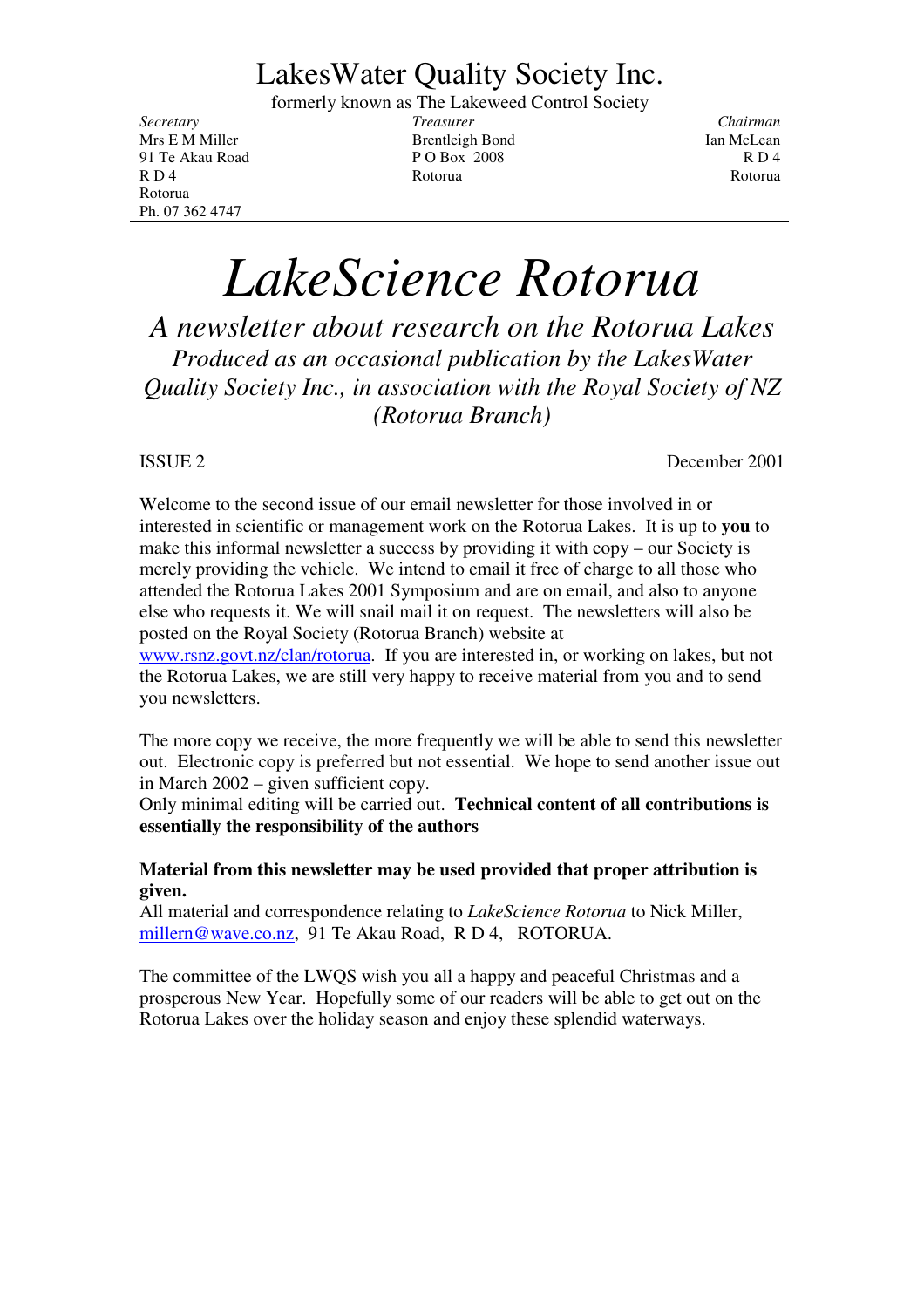## LakesWater Quality Society Inc.

formerly known as The Lakeweed Control Society

Rotorua Ph. 07 362 4747

*Secretary Treasurer Chairman* Mrs E M Miller **Brentleigh Bond** Ian McLean 91 Te Akau Road P O Box 2008 R D 4 R D 4 Rotorua Rotorua Rotorua Rotorua Rotorua Rotorua Rotorua Rotorua Rotorua Rotorua Rotorua Rotorua Rotorua

# *LakeScience Rotorua*

*A newsletter about research on the Rotorua Lakes Produced as an occasional publication by the LakesWater Quality Society Inc., in association with the Royal Society of NZ (Rotorua Branch)*

ISSUE 2 December 2001

Welcome to the second issue of our email newsletter for those involved in or interested in scientific or management work on the Rotorua Lakes. It is up to **you** to make this informal newsletter a success by providing it with copy – our Society is merely providing the vehicle. We intend to email it free of charge to all those who attended the Rotorua Lakes 2001 Symposium and are on email, and also to anyone else who requests it. We will snail mail it on request. The newsletters will also be posted on the Royal Society (Rotorua Branch) website at

www.rsnz.govt.nz/clan/rotorua. If you are interested in, or working on lakes, but not the Rotorua Lakes, we are still very happy to receive material from you and to send you newsletters.

The more copy we receive, the more frequently we will be able to send this newsletter out. Electronic copy is preferred but not essential. We hope to send another issue out in March 2002 – given sufficient copy.

Only minimal editing will be carried out. **Technical content of all contributions is essentially the responsibility of the authors**

#### **Material from this newsletter may be used provided that proper attribution is given.**

All material and correspondence relating to *LakeScience Rotorua* to Nick Miller, millern@wave.co.nz, 91 Te Akau Road, R D 4, ROTORUA.

The committee of the LWQS wish you all a happy and peaceful Christmas and a prosperous New Year. Hopefully some of our readers will be able to get out on the Rotorua Lakes over the holiday season and enjoy these splendid waterways.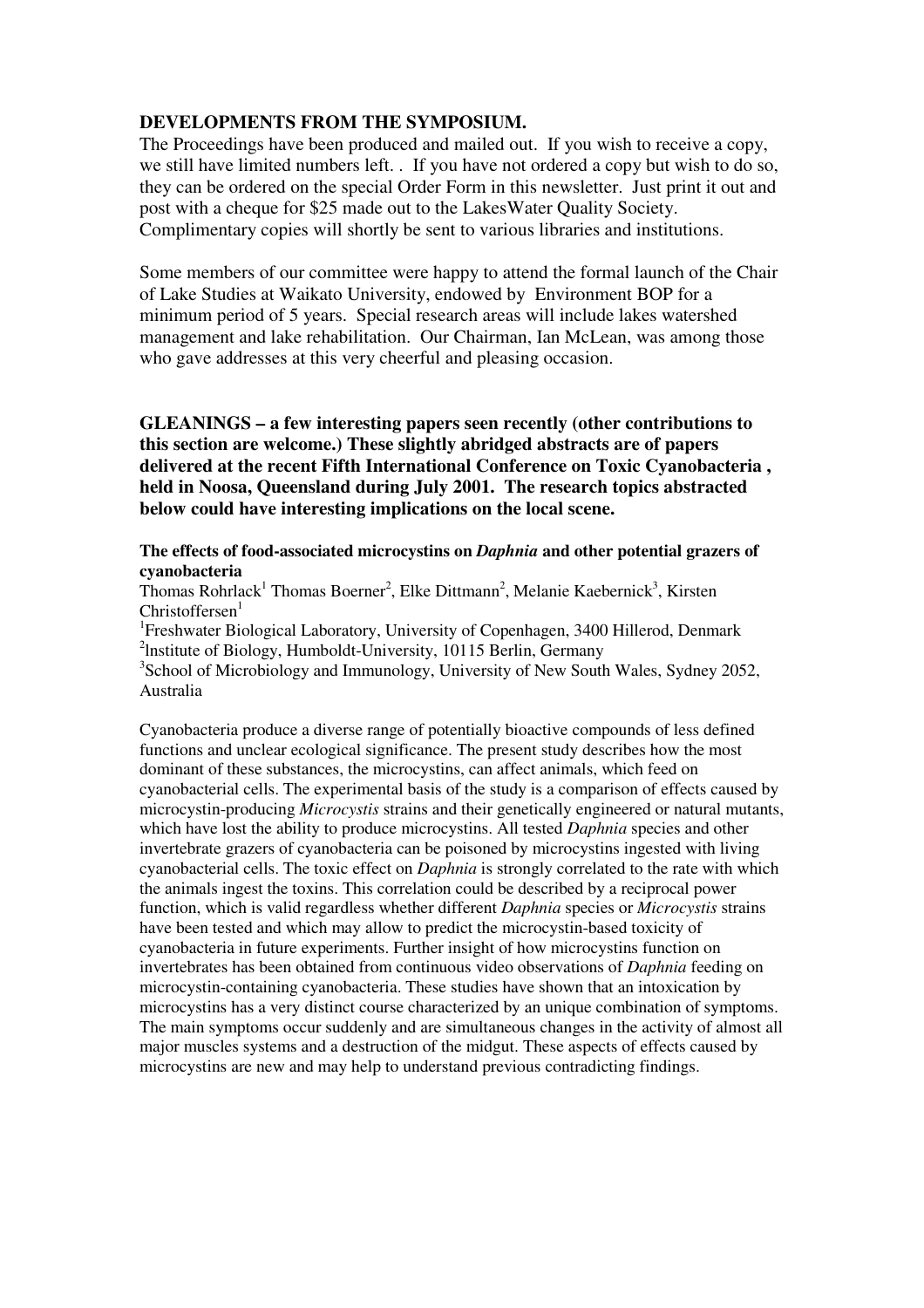#### **DEVELOPMENTS FROM THE SYMPOSIUM.**

The Proceedings have been produced and mailed out. If you wish to receive a copy, we still have limited numbers left. . If you have not ordered a copy but wish to do so, they can be ordered on the special Order Form in this newsletter. Just print it out and post with a cheque for \$25 made out to the LakesWater Quality Society. Complimentary copies will shortly be sent to various libraries and institutions.

Some members of our committee were happy to attend the formal launch of the Chair of Lake Studies at Waikato University, endowed by Environment BOP for a minimum period of 5 years. Special research areas will include lakes watershed management and lake rehabilitation. Our Chairman, Ian McLean, was among those who gave addresses at this very cheerful and pleasing occasion.

**GLEANINGS – a few interesting papers seen recently (other contributions to this section are welcome.) These slightly abridged abstracts are of papers delivered at the recent Fifth International Conference on Toxic Cyanobacteria , held in Noosa, Queensland during July 2001. The research topics abstracted below could have interesting implications on the local scene.**

#### **The effects of food-associated microcystins on** *Daphnia* **and other potential grazers of cyanobacteria**

Thomas Rohrlack<sup>1</sup> Thomas Boerner<sup>2</sup>, Elke Dittmann<sup>2</sup>, Melanie Kaebernick<sup>3</sup>, Kirsten Christoffersen<sup>1</sup>

<sup>1</sup>Freshwater Biological Laboratory, University of Copenhagen, 3400 Hillerod, Denmark <sup>2</sup>Institute of Biology, Humboldt-University, 10115 Berlin, Germany <sup>3</sup>School of Microbiology and Immunology, University of New South Wales, Sydney 2052, Australia

Cyanobacteria produce a diverse range of potentially bioactive compounds of less defined functions and unclear ecological significance. The present study describes how the most dominant of these substances, the microcystins, can affect animals, which feed on cyanobacterial cells. The experimental basis of the study is a comparison of effects caused by microcystin-producing *Microcystis* strains and their genetically engineered or natural mutants, which have lost the ability to produce microcystins. All tested *Daphnia* species and other invertebrate grazers of cyanobacteria can be poisoned by microcystins ingested with living cyanobacterial cells. The toxic effect on *Daphnia* is strongly correlated to the rate with which the animals ingest the toxins. This correlation could be described by a reciprocal power function, which is valid regardless whether different *Daphnia* species or *Microcystis* strains have been tested and which may allow to predict the microcystin-based toxicity of cyanobacteria in future experiments. Further insight of how microcystins function on invertebrates has been obtained from continuous video observations of *Daphnia* feeding on microcystin-containing cyanobacteria. These studies have shown that an intoxication by microcystins has a very distinct course characterized by an unique combination of symptoms. The main symptoms occur suddenly and are simultaneous changes in the activity of almost all major muscles systems and a destruction of the midgut. These aspects of effects caused by microcystins are new and may help to understand previous contradicting findings.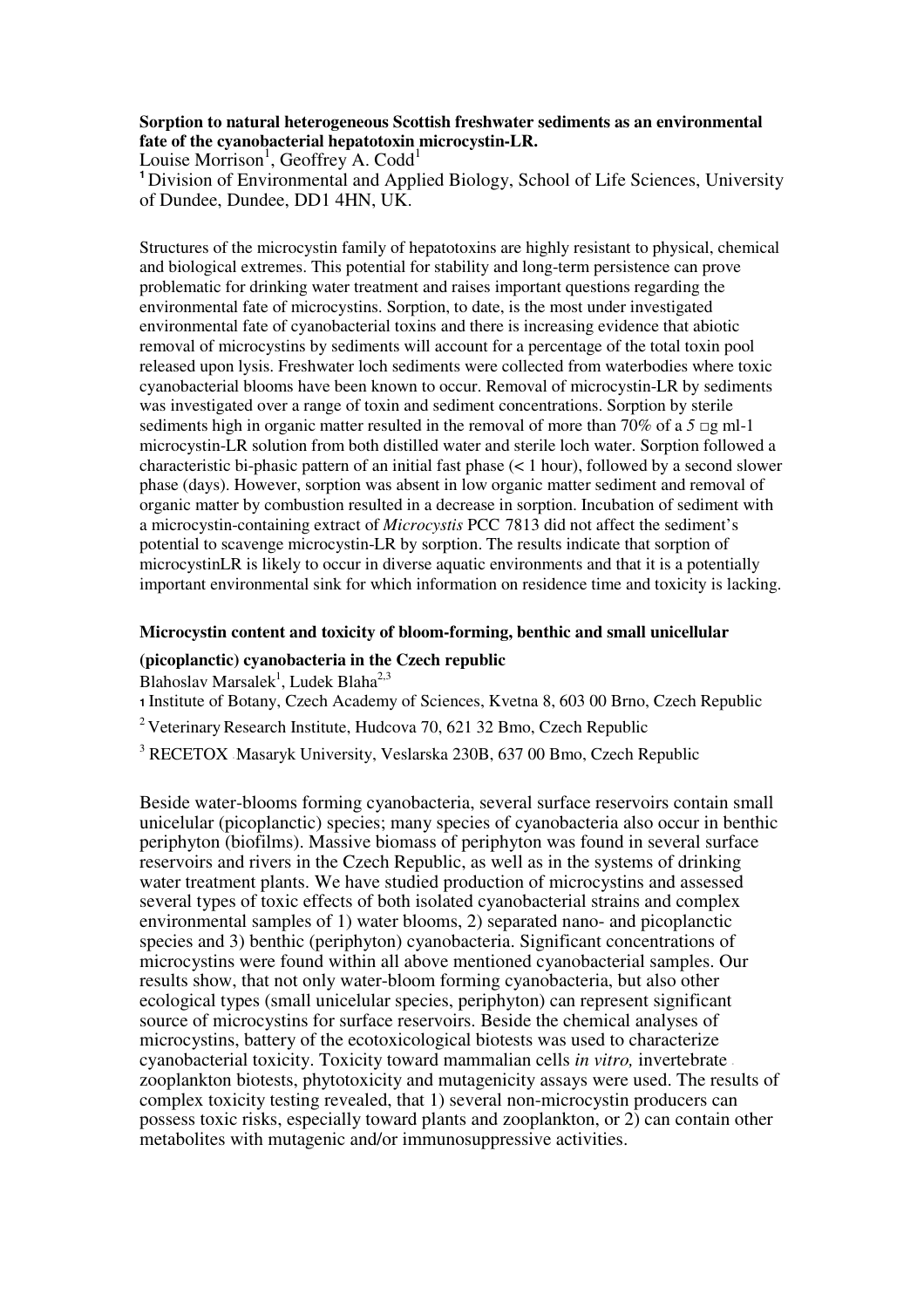#### **Sorption to natural heterogeneous Scottish freshwater sediments as an environmental fate of the cyanobacterial hepatotoxin microcystin-LR.**

Louise Morrison<sup>1</sup>, Geoffrey A. Codd<sup>1</sup>

**<sup>1</sup>** Division of Environmental and Applied Biology, School of Life Sciences, University of Dundee, Dundee, DD1 4HN, UK.

Structures of the microcystin family of hepatotoxins are highly resistant to physical, chemical and biological extremes. This potential for stability and long-term persistence can prove problematic for drinking water treatment and raises important questions regarding the environmental fate of microcystins. Sorption, to date, is the most under investigated environmental fate of cyanobacterial toxins and there is increasing evidence that abiotic removal of microcystins by sediments will account for a percentage of the total toxin pool released upon lysis. Freshwater loch sediments were collected from waterbodies where toxic cyanobacterial blooms have been known to occur. Removal of microcystin-LR by sediments was investigated over a range of toxin and sediment concentrations. Sorption by sterile sediments high in organic matter resulted in the removal of more than 70% of a  $5 \square g$  ml-1 microcystin-LR solution from both distilled water and sterile loch water. Sorption followed a characteristic bi-phasic pattern of an initial fast phase (< 1 hour), followed by a second slower phase (days). However, sorption was absent in low organic matter sediment and removal of organic matter by combustion resulted in a decrease in sorption. Incubation of sediment with a microcystin-containing extract of *Microcystis* PCC 7813 did not affect the sediment's potential to scavenge microcystin-LR by sorption. The results indicate that sorption of microcystinLR is likely to occur in diverse aquatic environments and that it is a potentially important environmental sink for which information on residence time and toxicity is lacking.

#### **Microcystin content and toxicity of bloom-forming, benthic and small unicellular**

#### **(picoplanctic) cyanobacteria in the Czech republic**

Blahoslav Marsalek<sup>1</sup>, Ludek Blaha<sup>2,3</sup>

**<sup>1</sup>** Institute of Botany, Czech Academy of Sciences, Kvetna 8, 603 00 Brno, Czech Republic

 $2$  Veterinary Research Institute, Hudcova 70, 621 32 Bmo, Czech Republic

<sup>3</sup> RECETOX -Masaryk University, Veslarska 230B, 637 00 Bmo, Czech Republic

Beside water-blooms forming cyanobacteria, several surface reservoirs contain small unicelular (picoplanctic) species; many species of cyanobacteria also occur in benthic periphyton (biofilms). Massive biomass of periphyton was found in several surface reservoirs and rivers in the Czech Republic, as well as in the systems of drinking water treatment plants. We have studied production of microcystins and assessed several types of toxic effects of both isolated cyanobacterial strains and complex environmental samples of 1) water blooms, 2) separated nano- and picoplanctic species and 3) benthic (periphyton) cyanobacteria. Significant concentrations of microcystins were found within all above mentioned cyanobacterial samples. Our results show, that not only water-bloom forming cyanobacteria, but also other ecological types (small unicelular species, periphyton) can represent significant source of microcystins for surface reservoirs. Beside the chemical analyses of microcystins, battery of the ecotoxicological biotests was used to characterize cyanobacterial toxicity. Toxicity toward mammalian cells *in vitro,* invertebrate zooplankton biotests, phytotoxicity and mutagenicity assays were used. The results of complex toxicity testing revealed, that 1) several non-microcystin producers can possess toxic risks, especially toward plants and zooplankton, or 2) can contain other metabolites with mutagenic and/or immunosuppressive activities.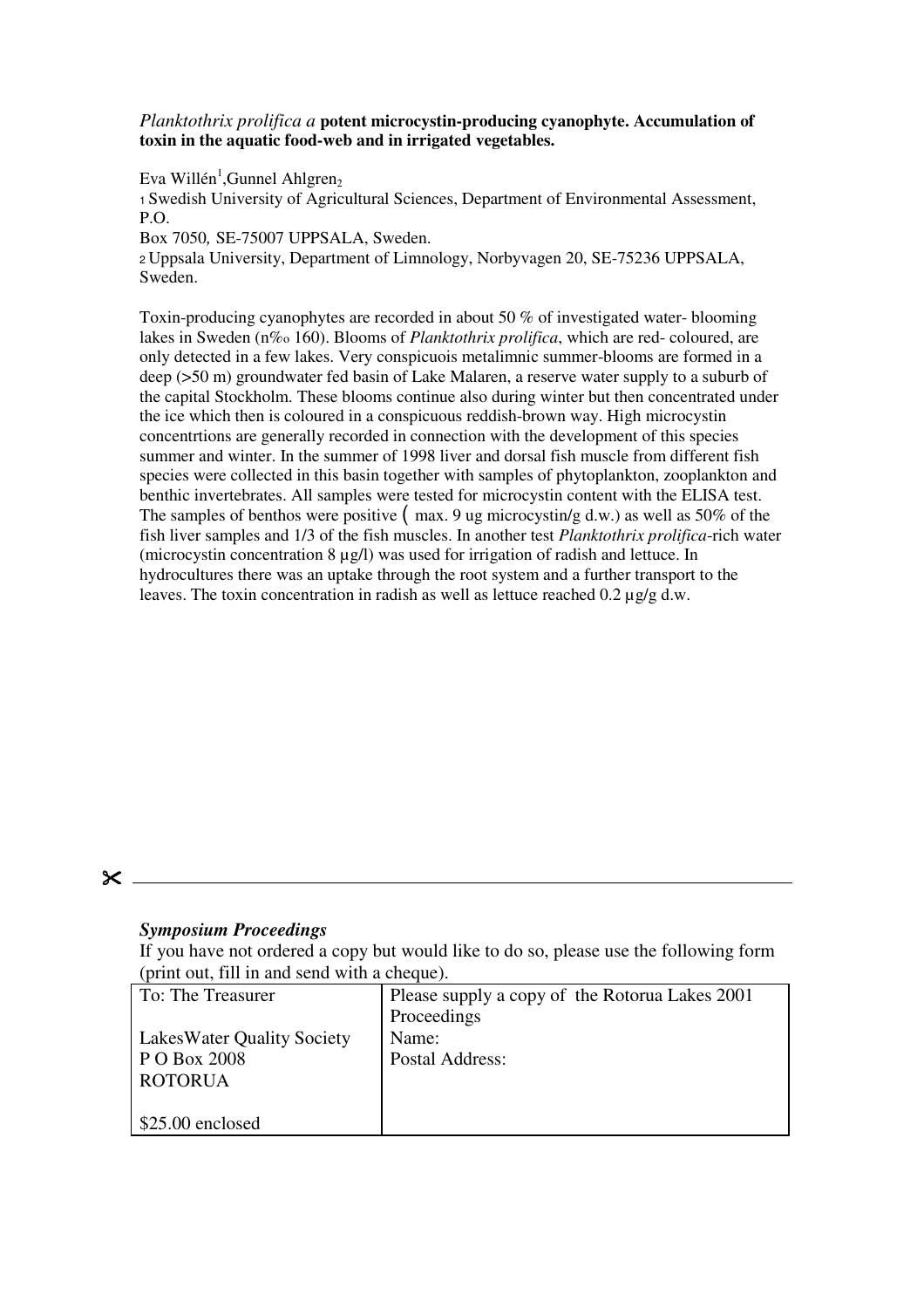*Planktothrix prolifica a* **potent microcystin-producing cyanophyte. Accumulation of toxin in the aquatic food-web and in irrigated vegetables.**

Eva Willén<sup>1</sup>,Gunnel Ahlgren<sub>2</sub>

<sup>1</sup> Swedish University of Agricultural Sciences, Department of Environmental Assessment, P.O.

Box 7050*,* SE-75007 UPPSALA, Sweden.

<sup>2</sup> Uppsala University, Department of Limnology, Norbyvagen 20, SE-75236 UPPSALA, Sweden.

Toxin-producing cyanophytes are recorded in about 50 % of investigated water- blooming lakes in Sweden (n%o 160). Blooms of *Planktothrix prolifica*, which are red- coloured, are only detected in a few lakes. Very conspicuois metalimnic summer-blooms are formed in a deep (>50 m) groundwater fed basin of Lake Malaren, a reserve water supply to a suburb of the capital Stockholm. These blooms continue also during winter but then concentrated under the ice which then is coloured in a conspicuous reddish-brown way. High microcystin concentrtions are generally recorded in connection with the development of this species summer and winter. In the summer of 1998 liver and dorsal fish muscle from different fish species were collected in this basin together with samples of phytoplankton, zooplankton and benthic invertebrates. All samples were tested for microcystin content with the ELISA test. The samples of benthos were positive  $(max, 9)$  ug microcystin/g d.w.) as well as 50% of the fish liver samples and 1/3 of the fish muscles. In another test *Planktothrix prolifica*-rich water (microcystin concentration  $8 \mu g/l$ ) was used for irrigation of radish and lettuce. In hydrocultures there was an uptake through the root system and a further transport to the leaves. The toxin concentration in radish as well as lettuce reached  $0.2 \mu$ g/g d.w.

#### $\mathsf{\times}$

#### *Symposium Proceedings*

If you have not ordered a copy but would like to do so, please use the following form (print out, fill in and send with a cheque).

| To: The Treasurer                 | Please supply a copy of the Rotorua Lakes 2001 |
|-----------------------------------|------------------------------------------------|
|                                   | Proceedings                                    |
| <b>LakesWater Quality Society</b> | Name:                                          |
| P O Box 2008                      | Postal Address:                                |
| <b>ROTORUA</b>                    |                                                |
|                                   |                                                |
| $$25.00$ enclosed                 |                                                |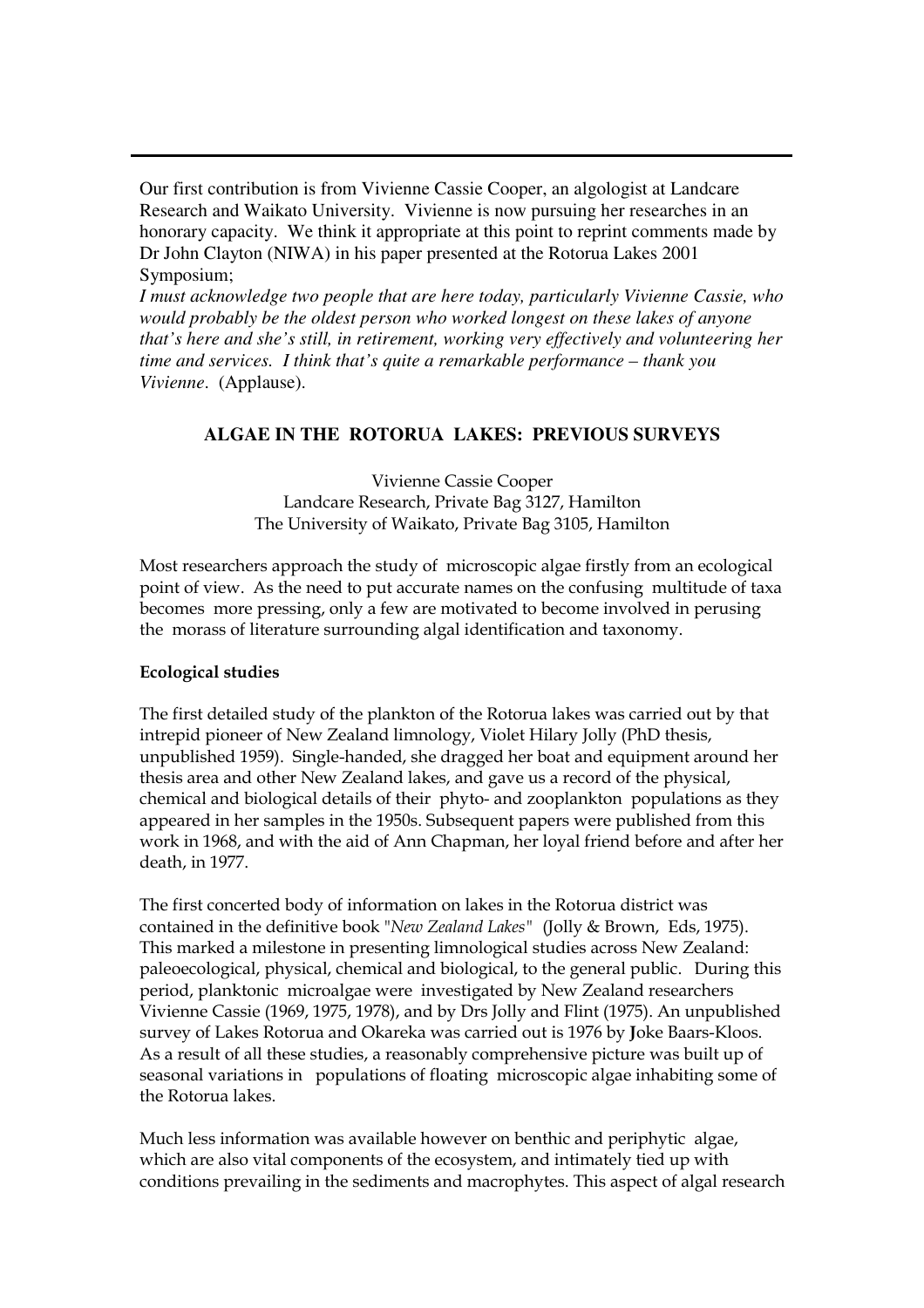Our first contribution is from Vivienne Cassie Cooper, an algologist at Landcare Research and Waikato University. Vivienne is now pursuing her researches in an honorary capacity. We think it appropriate at this point to reprint comments made by Dr John Clayton (NIWA) in his paper presented at the Rotorua Lakes 2001 Symposium;

*I must acknowledge two people that are here today, particularly Vivienne Cassie, who would probably be the oldest person who worked longest on these lakes of anyone that's here and she's still, in retirement, working very effectively and volunteering her time and services. I think that's quite a remarkable performance – thank you Vivienne*. (Applause).

### **ALGAE IN THE ROTORUA LAKES: PREVIOUS SURVEYS**

Vivienne Cassie Cooper Landcare Research, Private Bag 3127, Hamilton The University of Waikato, Private Bag 3105, Hamilton

Most researchers approach the study of microscopic algae firstly from an ecological point of view. As the need to put accurate names on the confusing multitude of taxa becomes more pressing, only a few are motivated to become involved in perusing the morass of literature surrounding algal identification and taxonomy.

#### **Ecological studies**

The first detailed study of the plankton of the Rotorua lakes was carried out by that intrepid pioneer of New Zealand limnology, Violet Hilary Jolly (PhD thesis, unpublished 1959). Single-handed, she dragged her boat and equipment around her thesis area and other New Zealand lakes, and gave us a record of the physical, chemical and biological details of their phyto- and zooplankton populations as they appeared in her samples in the 1950s. Subsequent papers were published from this work in 1968, and with the aid of Ann Chapman, her loyal friend before and after her death, in 1977.

The first concerted body of information on lakes in the Rotorua district was contained in the definitive book "New Zealand Lakes" (Jolly & Brown, Eds, 1975). This marked a milestone in presenting limnological studies across New Zealand: paleoecological, physical, chemical and biological, to the general public. During this period, planktonic microalgae were investigated by New Zealand researchers Vivienne Cassie (1969, 1975, 1978), and by Drs Jolly and Flint (1975). An unpublished survey of Lakes Rotorua and Okareka was carried out is 1976 by Joke Baars-Kloos. As a result of all these studies, a reasonably comprehensive picture was built up of seasonal variations in populations of floating microscopic algae inhabiting some of the Rotorua lakes.

Much less information was available however on benthic and periphytic algae,  $\,$ which are also vital components of the ecosystem, and intimately tied up with conditions prevailing in the sediments and macrophytes. This aspect of algal research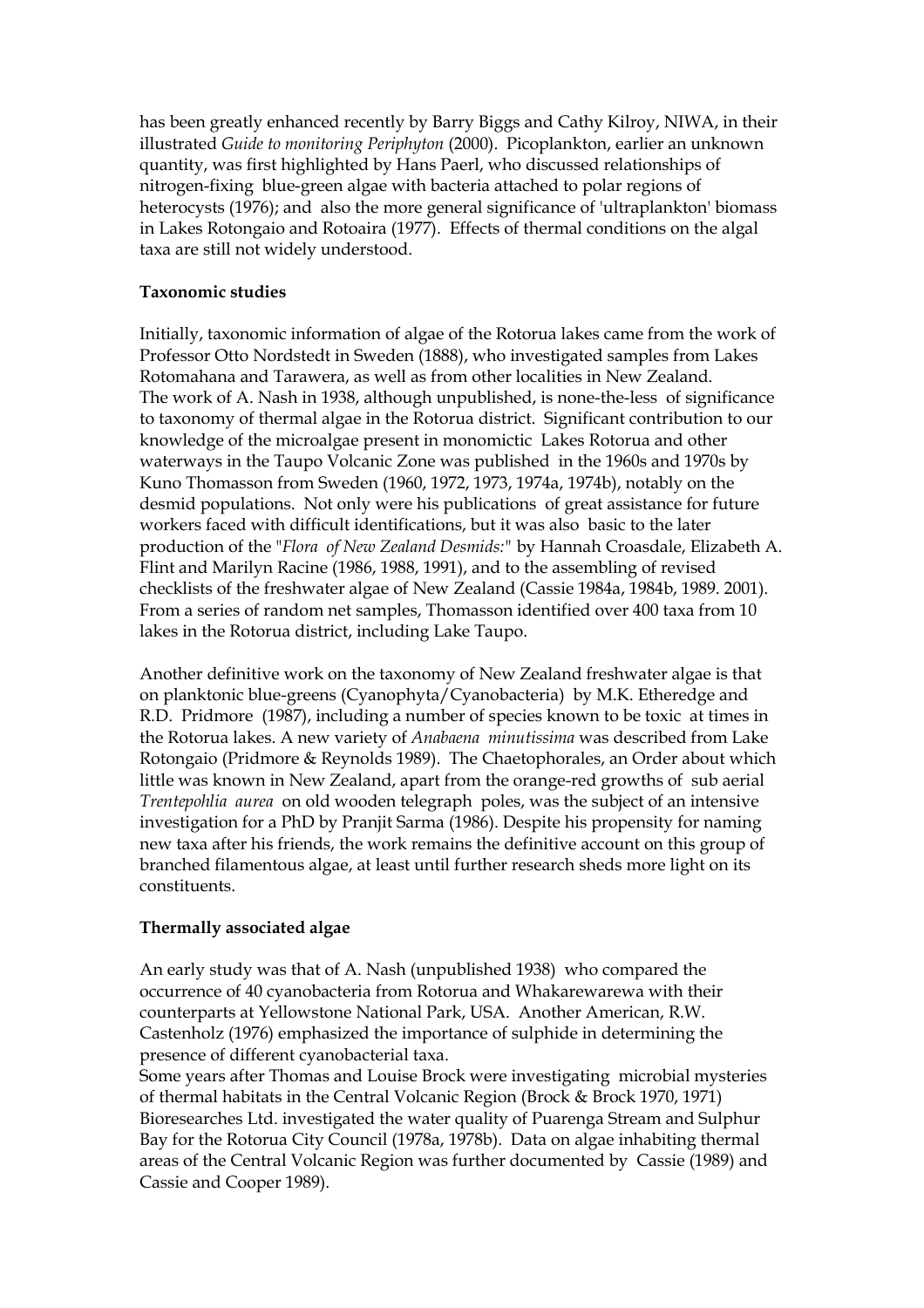has been greatly enhanced recently by Barry Biggs and Cathy Kilroy, NIWA, in their illustrated Guide to monitoring Periphyton (2000). Picoplankton, earlier an unknown quantity, was first highlighted by Hans Paerl, who discussed relationships of nitrogen-fixing blue-green algae with bacteria attached to polar regions of heterocysts (1976); and also the more general significance of 'ultraplankton' biomass in Lakes Rotongaio and Rotoaira (1977). Effects of thermal conditions on the algal taxa are still not widely understood.

#### **Taxonomic studies**

Initially, taxonomic information of algae of the Rotorua lakes came from the work of Professor Otto Nordstedt in Sweden (1888), who investigated samples from Lakes Rotomahana and Tarawera, as well as from other localities in New Zealand. The work of A. Nash in 1938, although unpublished, is none-the-less of significance to taxonomy of thermal algae in the Rotorua district. Significant contribution to our knowledge of the microalgae present in monomictic Lakes Rotorua and other waterways in the Taupo Volcanic Zone was published in the 1960s and 1970s by Kuno Thomasson from Sweden (1960, 1972, 1973, 1974a, 1974b), notably on the desmid populations. Not only were his publications of great assistance for future workers faced with difficult identifications, but it was also basic to the later production of the "Flora of New Zealand Desmids:" by Hannah Croasdale, Elizabeth A. Flint and Marilyn Racine (1986, 1988, 1991), and to the assembling of revised checklists of the freshwater algae of New Zealand (Cassie 1984a, 1984b, 1989. 2001). From a series of random net samples, Thomasson identified over 400 taxa from 10 lakes in the Rotorua district, including Lake Taupo.

Another definitive work on the taxonomy of New Zealand freshwater algae is that on planktonic blue-greens (Cyanophyta/Cyanobacteria) by M.K. Etheredge and R.D. Pridmore (1987), including a number of species known to be toxic at times in the Rotorua lakes. A new variety of Anabaena minutissima was described from Lake Rotongaio (Pridmore & Reynolds 1989). The Chaetophorales, an Order about which little was known in New Zealand, apart from the orange-red growths of sub aerial Trentepohlia aurea on old wooden telegraph poles, was the subject of an intensive investigation for a PhD by Pranjit Sarma (1986). Despite his propensity for naming new taxa after his friends, the work remains the definitive account on this group of branched filamentous algae, at least until further research sheds more light on its constituents.

#### Thermally associated algae

An early study was that of A. Nash (unpublished 1938) who compared the occurrence of 40 cyanobacteria from Rotorua and Whakarewarewa with their counterparts at Yellowstone National Park, USA. Another American, R.W. Castenholz (1976) emphasized the importance of sulphide in determining the presence of different cyanobacterial taxa.

Some years after Thomas and Louise Brock were investigating microbial mysteries of thermal habitats in the Central Volcanic Region (Brock & Brock 1970, 1971) Bioresearches Ltd. investigated the water quality of Puarenga Stream and Sulphur Bay for the Rotorua City Council (1978a, 1978b). Data on algae inhabiting thermal areas of the Central Volcanic Region was further documented by Cassie (1989) and Cassie and Cooper 1989).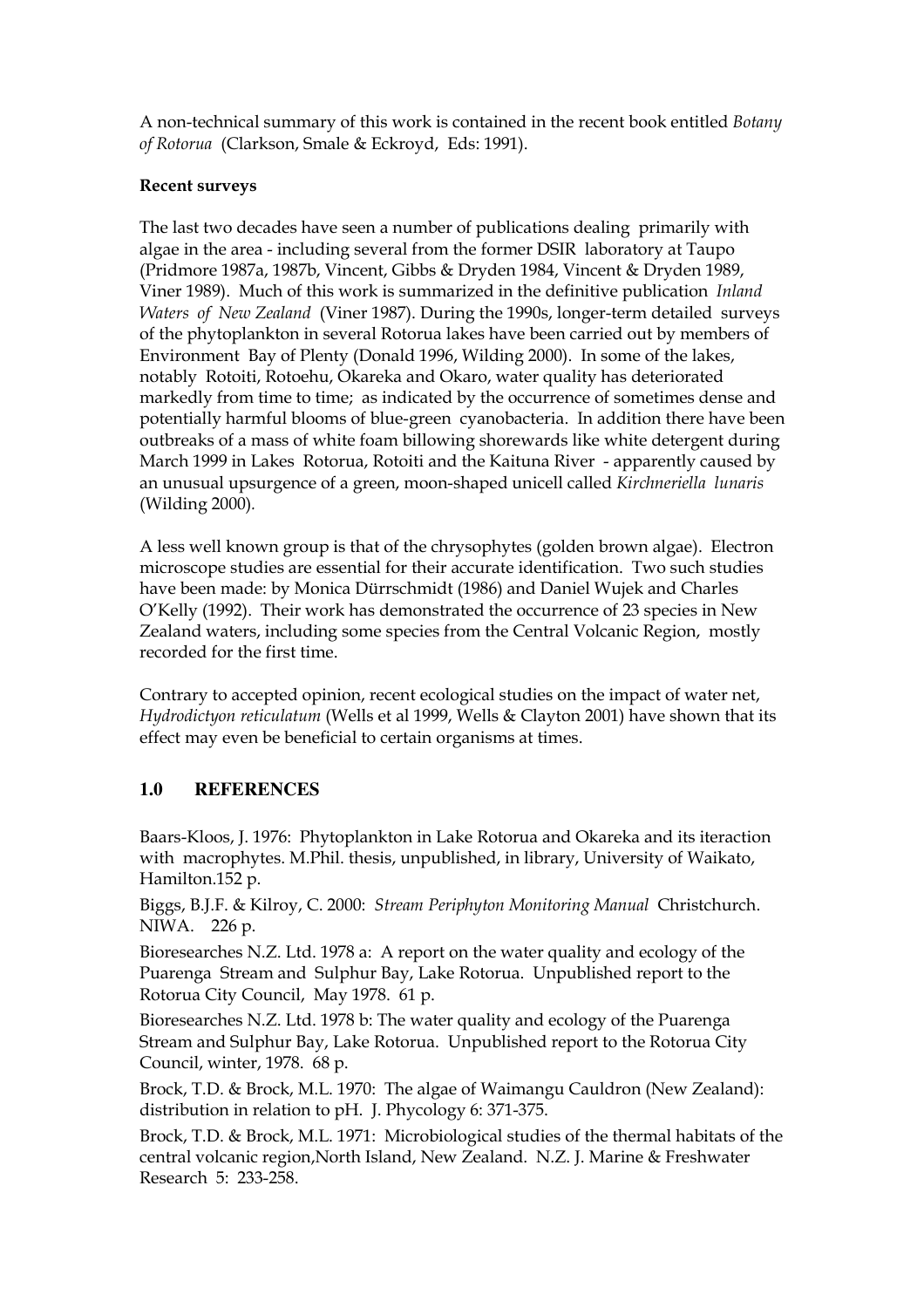A non-technical summary of this work is contained in the recent book entitled *Botany* of Rotorua (Clarkson, Smale & Eckroyd, Eds: 1991).

#### **Recent surveys**

The last two decades have seen a number of publications dealing primarily with algae in the area - including several from the former DSIR laboratory at Taupo (Pridmore 1987a, 1987b, Vincent, Gibbs & Dryden 1984, Vincent & Dryden 1989, Viner 1989). Much of this work is summarized in the definitive publication Inland Waters of New Zealand (Viner 1987). During the 1990s, longer-term detailed surveys of the phytoplankton in several Rotorua lakes have been carried out by members of Environment Bay of Plenty (Donald 1996, Wilding 2000). In some of the lakes, notably Rotoiti, Rotoehu, Okareka and Okaro, water quality has deteriorated markedly from time to time; as indicated by the occurrence of sometimes dense and potentially harmful blooms of blue-green cyanobacteria. In addition there have been outbreaks of a mass of white foam billowing shorewards like white detergent during March 1999 in Lakes Rotorua, Rotoiti and the Kaituna River - apparently caused by an unusual upsurgence of a green, moon-shaped unicell called Kirchneriella lunaris (Wilding 2000).

A less well known group is that of the chrysophytes (golden brown algae). Electron microscope studies are essential for their accurate identification. Two such studies have been made: by Monica Dürrschmidt (1986) and Daniel Wujek and Charles O'Kelly (1992). Their work has demonstrated the occurrence of 23 species in New Zealand waters, including some species from the Central Volcanic Region, mostly recorded for the first time.

Contrary to accepted opinion, recent ecological studies on the impact of water net, Hydrodictyon reticulatum (Wells et al 1999, Wells & Clayton 2001) have shown that its effect may even be beneficial to certain organisms at times.

#### $1.0$ **REFERENCES**

Baars-Kloos, J. 1976: Phytoplankton in Lake Rotorua and Okareka and its iteraction with macrophytes. M.Phil. thesis, unpublished, in library, University of Waikato, Hamilton.152 p.

Biggs, B.J.F. & Kilroy, C. 2000: Stream Periphyton Monitoring Manual Christchurch. NIWA. 226 p.

Bioresearches N.Z. Ltd. 1978 a: A report on the water quality and ecology of the Puarenga Stream and Sulphur Bay, Lake Rotorua. Unpublished report to the Rotorua City Council, May 1978. 61 p.

Bioresearches N.Z. Ltd. 1978 b: The water quality and ecology of the Puarenga Stream and Sulphur Bay, Lake Rotorua. Unpublished report to the Rotorua City Council, winter, 1978. 68 p.

Brock, T.D. & Brock, M.L. 1970: The algae of Waimangu Cauldron (New Zealand): distribution in relation to pH. J. Phycology 6: 371-375.

Brock, T.D. & Brock, M.L. 1971: Microbiological studies of the thermal habitats of the central volcanic region, North Island, New Zealand. N.Z. J. Marine & Freshwater Research 5: 233-258.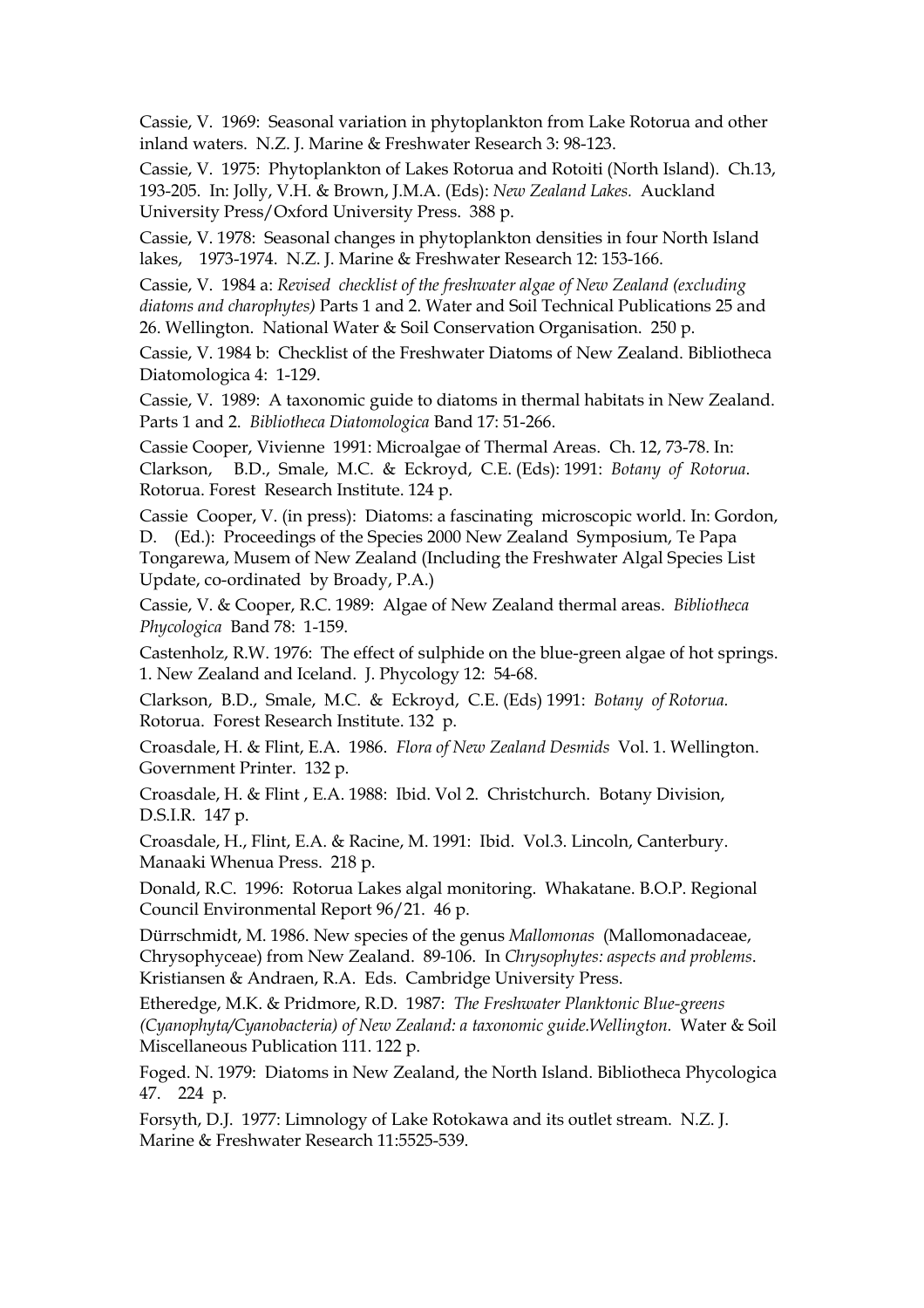Cassie, V. 1969: Seasonal variation in phytoplankton from Lake Rotorua and other inland waters. N.Z. J. Marine & Freshwater Research 3: 98-123.

Cassie, V. 1975: Phytoplankton of Lakes Rotorua and Rotoiti (North Island). Ch.13, 193-205. In: Jolly, V.H. & Brown, J.M.A. (Eds): New Zealand Lakes. Auckland University Press/Oxford University Press. 388 p.

Cassie, V. 1978: Seasonal changes in phytoplankton densities in four North Island lakes, 1973-1974. N.Z. J. Marine & Freshwater Research 12: 153-166.

Cassie, V. 1984 a: Revised checklist of the freshwater algae of New Zealand (excluding diatoms and charophytes) Parts 1 and 2. Water and Soil Technical Publications 25 and 26. Wellington. National Water & Soil Conservation Organisation. 250 p.

Cassie, V. 1984 b: Checklist of the Freshwater Diatoms of New Zealand. Bibliotheca Diatomologica 4: 1-129.

Cassie, V. 1989: A taxonomic guide to diatoms in thermal habitats in New Zealand. Parts 1 and 2. Bibliotheca Diatomologica Band 17: 51-266.

Cassie Cooper, Vivienne 1991: Microalgae of Thermal Areas. Ch. 12, 73-78. In: Clarkson, B.D., Smale, M.C. & Eckroyd, C.E. (Eds): 1991: Botany of Rotorua. Rotorua. Forest Research Institute. 124 p.

Cassie Cooper, V. (in press): Diatoms: a fascinating microscopic world. In: Gordon, D. (Ed.): Proceedings of the Species 2000 New Zealand Symposium, Te Papa Tongarewa, Musem of New Zealand (Including the Freshwater Algal Species List Update, co-ordinated by Broady, P.A.)

Cassie, V. & Cooper, R.C. 1989: Algae of New Zealand thermal areas. Bibliotheca Phycologica Band 78: 1-159.

Castenholz, R.W. 1976: The effect of sulphide on the blue-green algae of hot springs. 1. New Zealand and Iceland. J. Phycology 12: 54-68.

Clarkson, B.D., Smale, M.C. & Eckroyd, C.E. (Eds) 1991: Botany of Rotorua. Rotorua. Forest Research Institute. 132 p.

Croasdale, H. & Flint, E.A. 1986. Flora of New Zealand Desmids Vol. 1. Wellington. Government Printer. 132 p.

Croasdale, H. & Flint, E.A. 1988: Ibid. Vol 2. Christchurch. Botany Division, D.S.I.R. 147 p.

Croasdale, H., Flint, E.A. & Racine, M. 1991: Ibid. Vol.3. Lincoln, Canterbury. Manaaki Whenua Press. 218 p.

Donald, R.C. 1996: Rotorua Lakes algal monitoring. Whakatane. B.O.P. Regional Council Environmental Report 96/21. 46 p.

Dürrschmidt, M. 1986. New species of the genus Mallomonas (Mallomonadaceae, Chrysophyceae) from New Zealand. 89-106. In Chrysophytes: aspects and problems. Kristiansen & Andraen, R.A. Eds. Cambridge University Press.

Etheredge, M.K. & Pridmore, R.D. 1987: The Freshwater Planktonic Blue-greens (Cyanophyta/Cyanobacteria) of New Zealand: a taxonomic guide. Wellington. Water & Soil Miscellaneous Publication 111. 122 p.

Foged. N. 1979: Diatoms in New Zealand, the North Island. Bibliotheca Phycologica 47. 224 p.

Forsyth, D.J. 1977: Limnology of Lake Rotokawa and its outlet stream. N.Z. J. Marine & Freshwater Research 11:5525-539.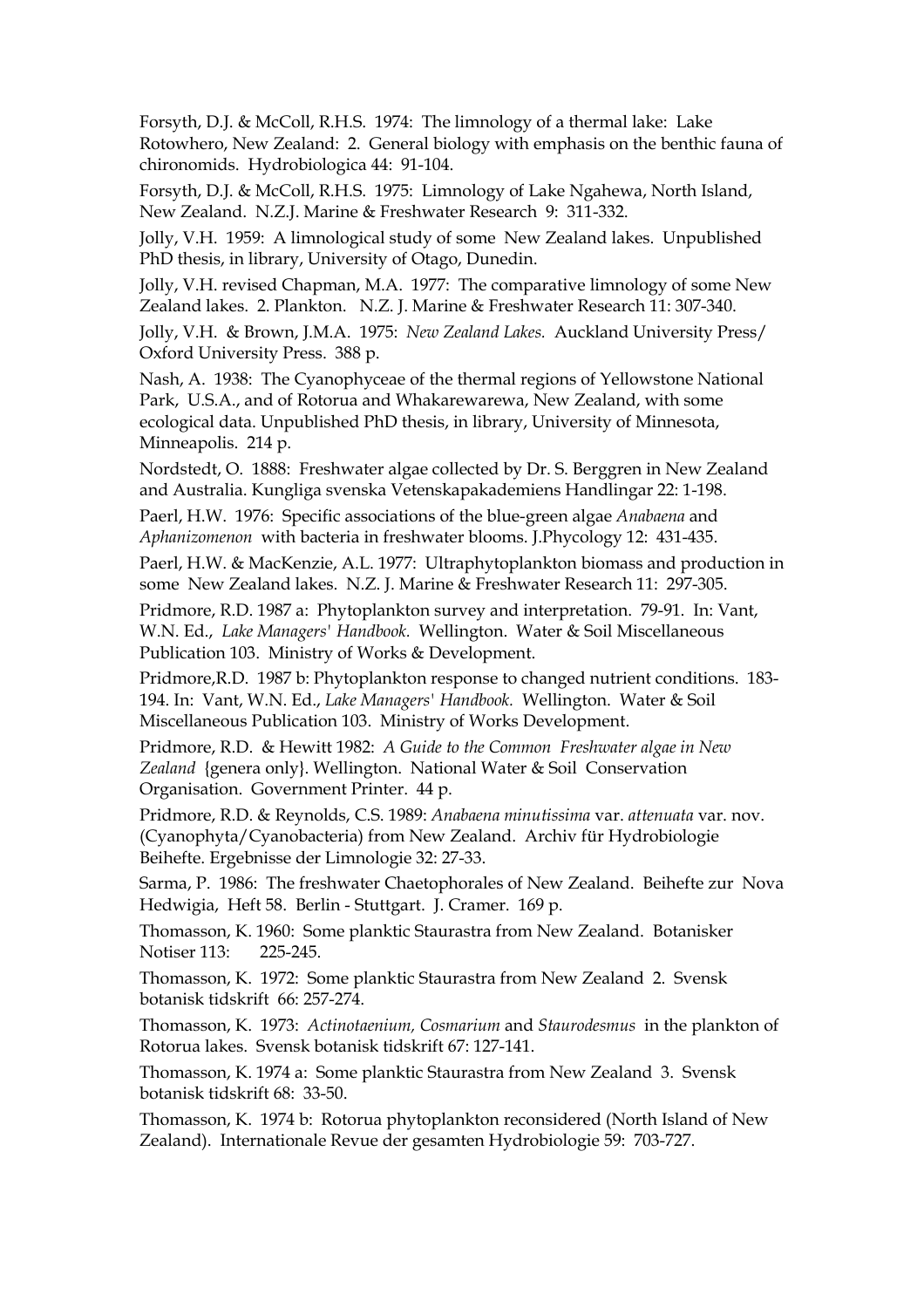Forsyth, D.J. & McColl, R.H.S. 1974: The limnology of a thermal lake: Lake Rotowhero, New Zealand: 2. General biology with emphasis on the benthic fauna of chironomids. Hydrobiologica 44: 91-104.

Forsyth, D.J. & McColl, R.H.S. 1975: Limnology of Lake Ngahewa, North Island, New Zealand. N.Z.J. Marine & Freshwater Research 9: 311-332.

Jolly, V.H. 1959: A limnological study of some New Zealand lakes. Unpublished PhD thesis, in library, University of Otago, Dunedin.

Jolly, V.H. revised Chapman, M.A. 1977: The comparative limnology of some New Zealand lakes. 2. Plankton. N.Z. J. Marine & Freshwater Research 11: 307-340.

Jolly, V.H. & Brown, J.M.A. 1975: New Zealand Lakes. Auckland University Press/ Oxford University Press. 388 p.

Nash, A. 1938: The Cyanophyceae of the thermal regions of Yellowstone National Park, U.S.A., and of Rotorua and Whakarewarewa, New Zealand, with some ecological data. Unpublished PhD thesis, in library, University of Minnesota, Minneapolis. 214 p.

Nordstedt, O. 1888: Freshwater algae collected by Dr. S. Berggren in New Zealand and Australia. Kungliga svenska Vetenskapakademiens Handlingar 22: 1-198.

Paerl, H.W. 1976: Specific associations of the blue-green algae Anabaena and Aphanizomenon with bacteria in freshwater blooms. J.Phycology 12: 431-435.

Paerl, H.W. & MacKenzie, A.L. 1977: Ultraphytoplankton biomass and production in some New Zealand lakes. N.Z. J. Marine & Freshwater Research 11: 297-305.

Pridmore, R.D. 1987 a: Phytoplankton survey and interpretation. 79-91. In: Vant, W.N. Ed., Lake Managers' Handbook. Wellington. Water & Soil Miscellaneous Publication 103. Ministry of Works & Development.

Pridmore, R.D. 1987 b: Phytoplankton response to changed nutrient conditions. 183-194. In: Vant, W.N. Ed., Lake Managers' Handbook. Wellington. Water & Soil Miscellaneous Publication 103. Ministry of Works Development.

Pridmore, R.D. & Hewitt 1982: A Guide to the Common Freshwater algae in New Zealand {genera only}. Wellington. National Water & Soil Conservation Organisation. Government Printer. 44 p.

Pridmore, R.D. & Reynolds, C.S. 1989: Anabaena minutissima var. attenuata var. nov. (Cyanophyta/Cyanobacteria) from New Zealand. Archiv für Hydrobiologie Beihefte. Ergebnisse der Limnologie 32: 27-33.

Sarma, P. 1986: The freshwater Chaetophorales of New Zealand. Beihefte zur Nova Hedwigia, Heft 58. Berlin - Stuttgart. J. Cramer. 169 p.

Thomasson, K. 1960: Some planktic Staurastra from New Zealand. Botanisker Notiser 113: 225-245.

Thomasson, K. 1972: Some planktic Staurastra from New Zealand 2. Svensk botanisk tidskrift 66: 257-274.

Thomasson, K. 1973: Actinotaenium, Cosmarium and Staurodesmus in the plankton of Rotorua lakes. Svensk botanisk tidskrift 67: 127-141.

Thomasson, K. 1974 a: Some planktic Staurastra from New Zealand 3. Svensk botanisk tidskrift 68: 33-50.

Thomasson, K. 1974 b: Rotorua phytoplankton reconsidered (North Island of New Zealand). Internationale Revue der gesamten Hydrobiologie 59: 703-727.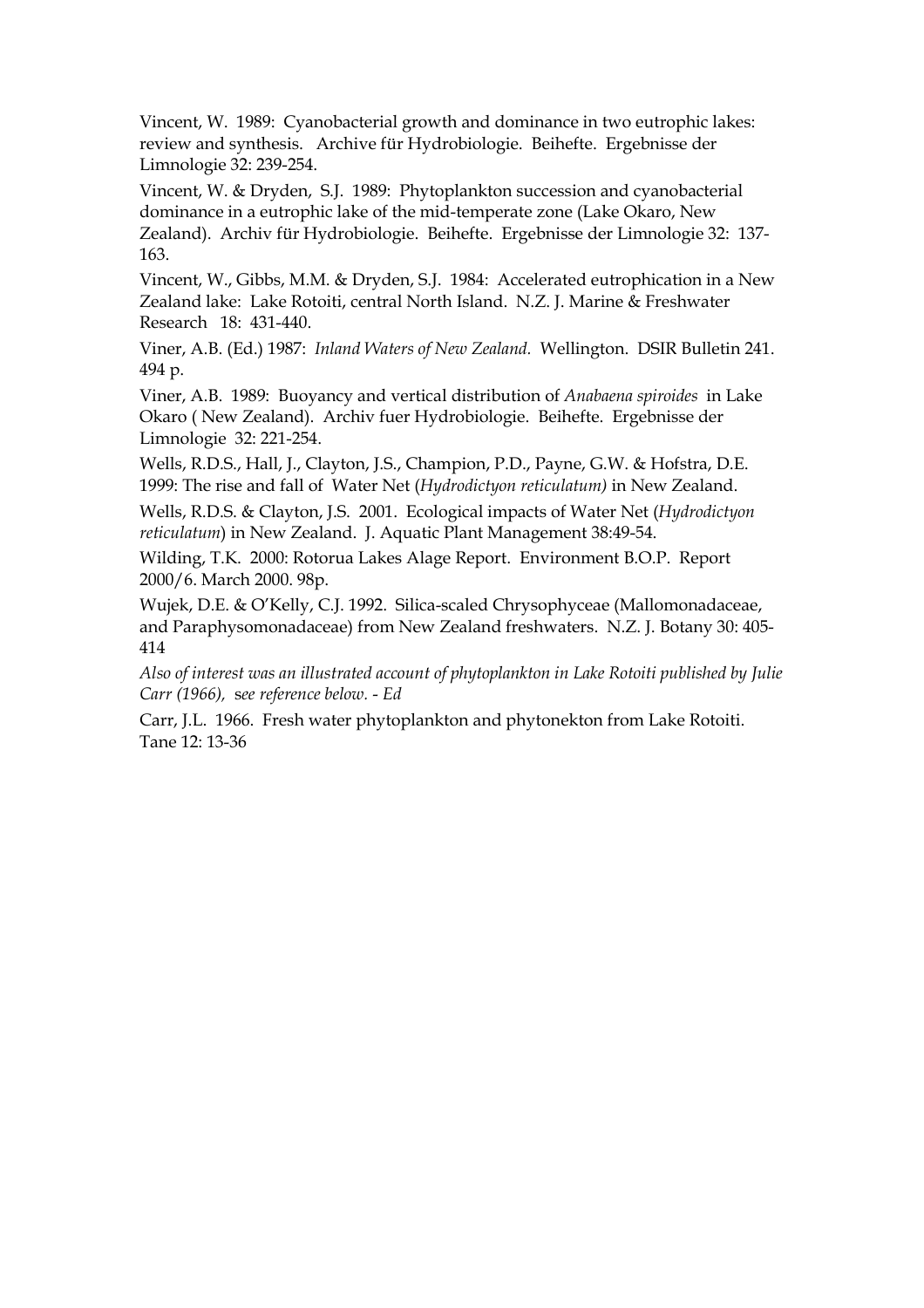Vincent, W. 1989: Cyanobacterial growth and dominance in two eutrophic lakes: review and synthesis. Archive für Hydrobiologie. Beihefte. Ergebnisse der Limnologie 32: 239-254.

Vincent, W. & Dryden, S.J. 1989: Phytoplankton succession and cyanobacterial dominance in a eutrophic lake of the mid-temperate zone (Lake Okaro, New Zealand). Archiv für Hydrobiologie. Beihefte. Ergebnisse der Limnologie 32: 137- $163.$ 

Vincent, W., Gibbs, M.M. & Dryden, S.J. 1984: Accelerated eutrophication in a New Zealand lake: Lake Rotoiti, central North Island. N.Z. J. Marine & Freshwater Research 18: 431-440.

Viner, A.B. (Ed.) 1987: Inland Waters of New Zealand. Wellington. DSIR Bulletin 241. 494 p.

Viner, A.B. 1989: Buoyancy and vertical distribution of Anabaena spiroides in Lake Okaro (New Zealand). Archiv fuer Hydrobiologie. Beihefte. Ergebnisse der Limnologie 32: 221-254.

Wells, R.D.S., Hall, J., Clayton, J.S., Champion, P.D., Payne, G.W. & Hofstra, D.E. 1999: The rise and fall of Water Net (Hydrodictyon reticulatum) in New Zealand.

Wells, R.D.S. & Clayton, J.S. 2001. Ecological impacts of Water Net (Hydrodictyon reticulatum) in New Zealand. J. Aquatic Plant Management 38:49-54.

Wilding, T.K. 2000: Rotorua Lakes Alage Report. Environment B.O.P. Report 2000/6. March 2000. 98p.

Wujek, D.E. & O'Kelly, C.J. 1992. Silica-scaled Chrysophyceae (Mallomonadaceae, and Paraphysomonadaceae) from New Zealand freshwaters. N.Z. J. Botany 30: 405-414

Also of interest was an illustrated account of phytoplankton in Lake Rotoiti published by Julie Carr (1966), see reference below. - Ed

Carr, J.L. 1966. Fresh water phytoplankton and phytonekton from Lake Rotoiti. Tane 12: 13-36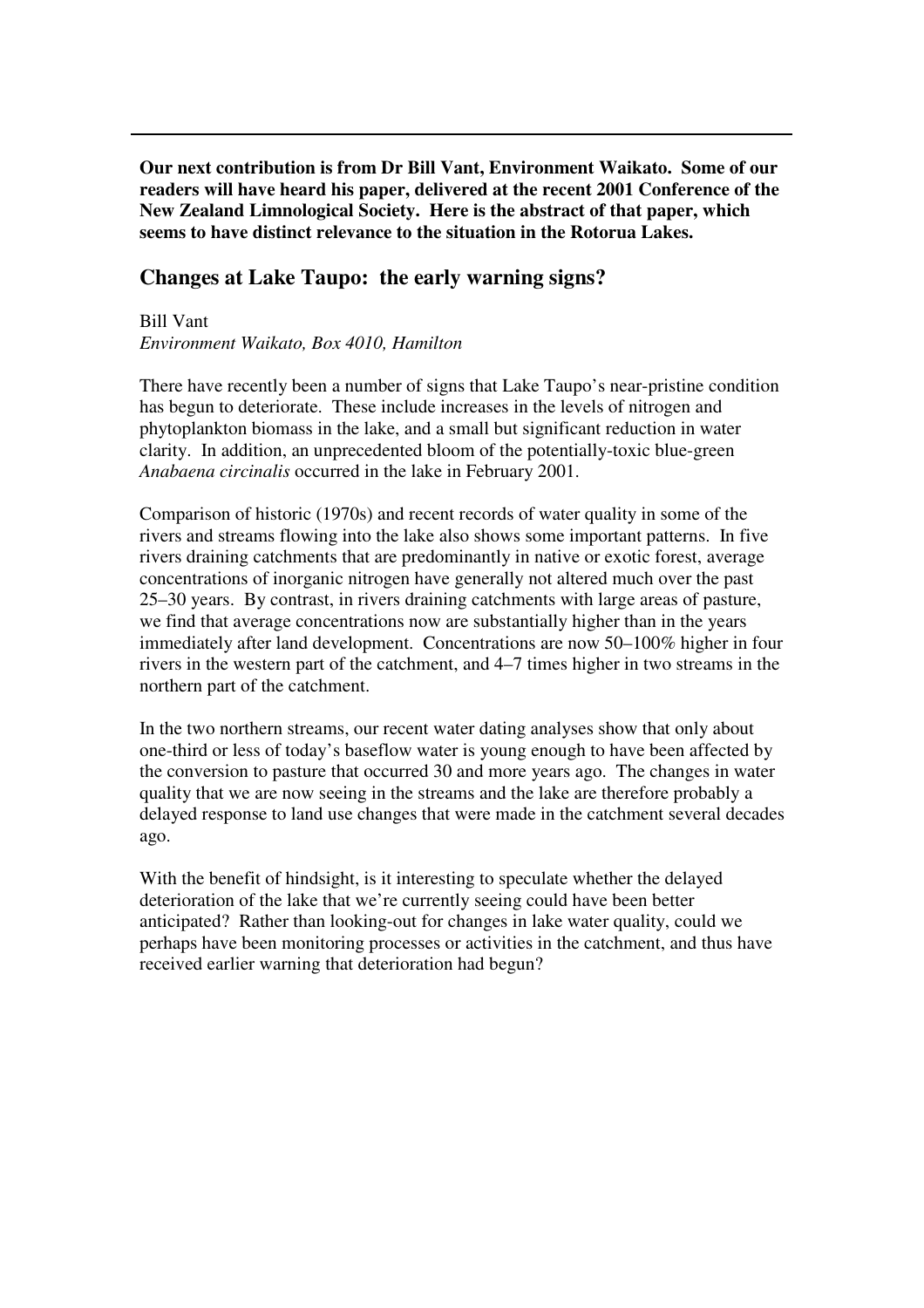**Our next contribution is from Dr Bill Vant, Environment Waikato. Some of our readers will have heard his paper, delivered at the recent 2001 Conference of the New Zealand Limnological Society. Here is the abstract of that paper, which seems to have distinct relevance to the situation in the Rotorua Lakes.**

#### **Changes at Lake Taupo: the early warning signs?**

Bill Vant *Environment Waikato, Box 4010, Hamilton*

There have recently been a number of signs that Lake Taupo's near-pristine condition has begun to deteriorate. These include increases in the levels of nitrogen and phytoplankton biomass in the lake, and a small but significant reduction in water clarity. In addition, an unprecedented bloom of the potentially-toxic blue-green *Anabaena circinalis* occurred in the lake in February 2001.

Comparison of historic (1970s) and recent records of water quality in some of the rivers and streams flowing into the lake also shows some important patterns. In five rivers draining catchments that are predominantly in native or exotic forest, average concentrations of inorganic nitrogen have generally not altered much over the past 25–30 years. By contrast, in rivers draining catchments with large areas of pasture, we find that average concentrations now are substantially higher than in the years immediately after land development. Concentrations are now 50–100% higher in four rivers in the western part of the catchment, and 4–7 times higher in two streams in the northern part of the catchment.

In the two northern streams, our recent water dating analyses show that only about one-third or less of today's baseflow water is young enough to have been affected by the conversion to pasture that occurred 30 and more years ago. The changes in water quality that we are now seeing in the streams and the lake are therefore probably a delayed response to land use changes that were made in the catchment several decades ago.

With the benefit of hindsight, is it interesting to speculate whether the delayed deterioration of the lake that we're currently seeing could have been better anticipated? Rather than looking-out for changes in lake water quality, could we perhaps have been monitoring processes or activities in the catchment, and thus have received earlier warning that deterioration had begun?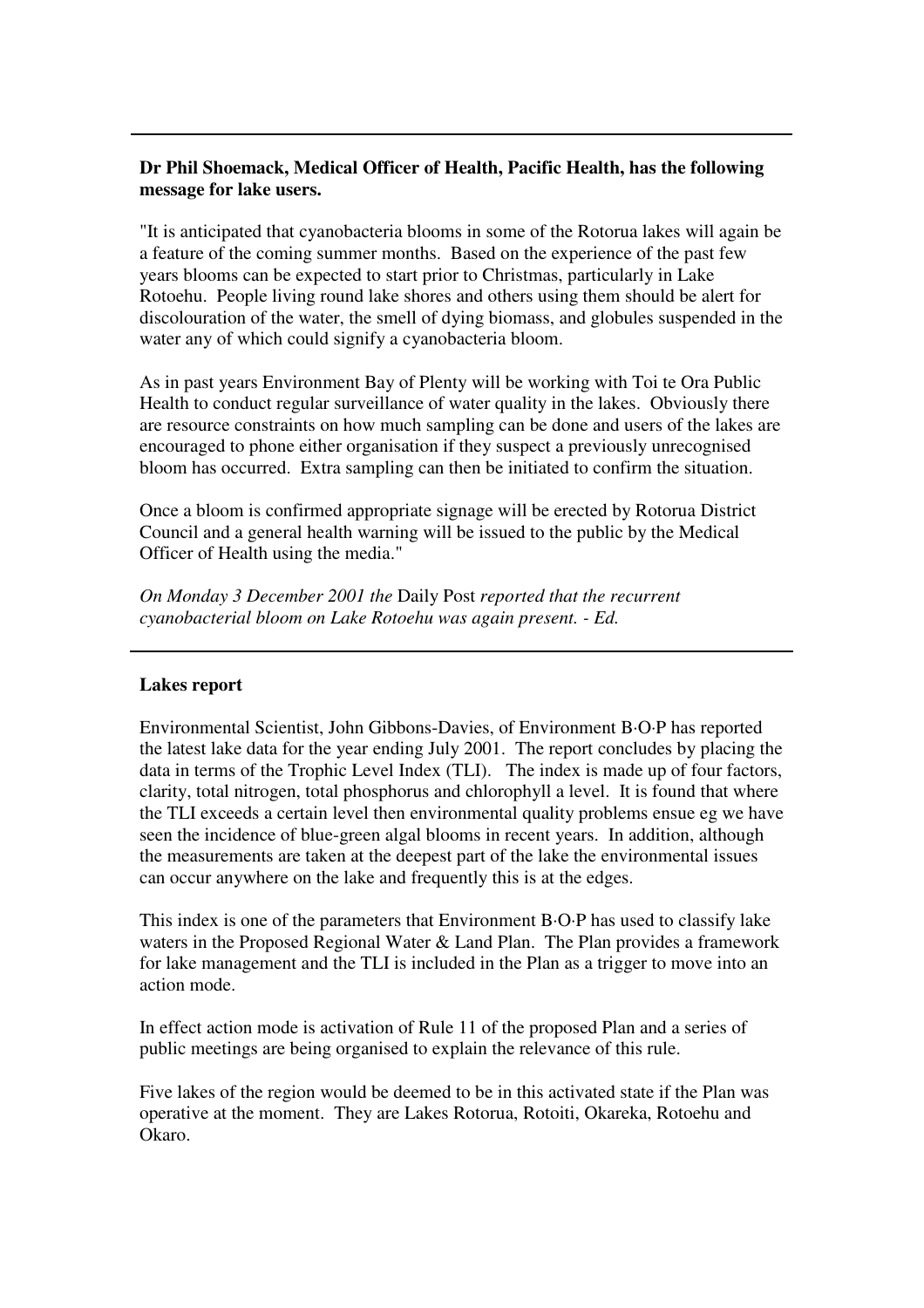#### **Dr Phil Shoemack, Medical Officer of Health, Pacific Health, has the following message for lake users.**

"It is anticipated that cyanobacteria blooms in some of the Rotorua lakes will again be a feature of the coming summer months. Based on the experience of the past few years blooms can be expected to start prior to Christmas, particularly in Lake Rotoehu. People living round lake shores and others using them should be alert for discolouration of the water, the smell of dying biomass, and globules suspended in the water any of which could signify a cyanobacteria bloom.

As in past years Environment Bay of Plenty will be working with Toi te Ora Public Health to conduct regular surveillance of water quality in the lakes. Obviously there are resource constraints on how much sampling can be done and users of the lakes are encouraged to phone either organisation if they suspect a previously unrecognised bloom has occurred. Extra sampling can then be initiated to confirm the situation.

Once a bloom is confirmed appropriate signage will be erected by Rotorua District Council and a general health warning will be issued to the public by the Medical Officer of Health using the media."

*On Monday 3 December 2001 the* Daily Post *reported that the recurrent cyanobacterial bloom on Lake Rotoehu was again present. - Ed.*

#### **Lakes report**

Environmental Scientist, John Gibbons-Davies, of Environment B·O·P has reported the latest lake data for the year ending July 2001. The report concludes by placing the data in terms of the Trophic Level Index (TLI). The index is made up of four factors, clarity, total nitrogen, total phosphorus and chlorophyll a level. It is found that where the TLI exceeds a certain level then environmental quality problems ensue eg we have seen the incidence of blue-green algal blooms in recent years. In addition, although the measurements are taken at the deepest part of the lake the environmental issues can occur anywhere on the lake and frequently this is at the edges.

This index is one of the parameters that Environment B·O·P has used to classify lake waters in the Proposed Regional Water & Land Plan. The Plan provides a framework for lake management and the TLI is included in the Plan as a trigger to move into an action mode.

In effect action mode is activation of Rule 11 of the proposed Plan and a series of public meetings are being organised to explain the relevance of this rule.

Five lakes of the region would be deemed to be in this activated state if the Plan was operative at the moment. They are Lakes Rotorua, Rotoiti, Okareka, Rotoehu and Okaro.